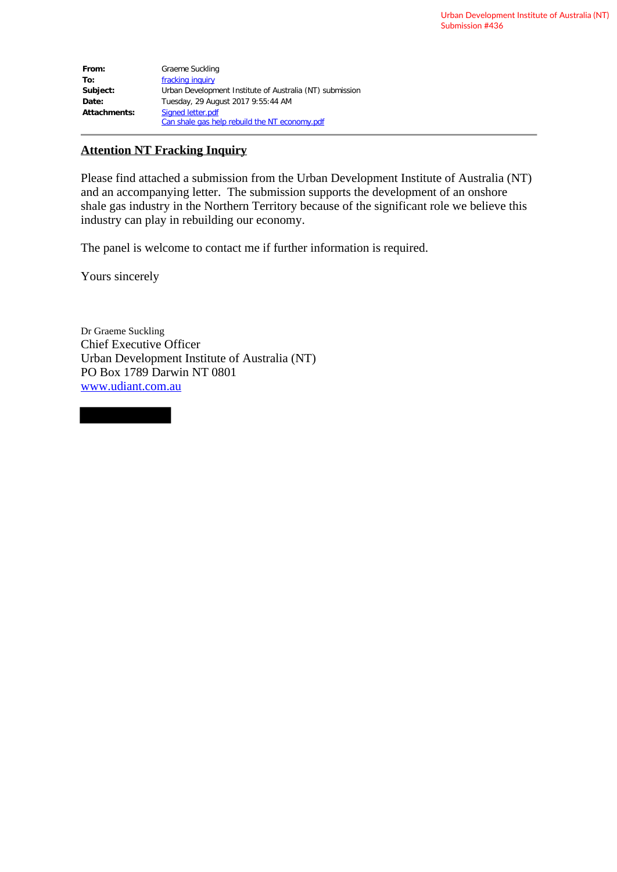| From:        | Graeme Suckling                                          |
|--------------|----------------------------------------------------------|
| To:          | fracking inquiry                                         |
| Subject:     | Urban Development Institute of Australia (NT) submission |
| Date:        | Tuesday, 29 August 2017 9:55:44 AM                       |
| Attachments: | Signed letter.pdf                                        |
|              | Can shale gas help rebuild the NT economy.pdf            |

## **Attention NT Fracking Inquiry**

Please find attached a submission from the Urban Development Institute of Australia (NT) and an accompanying letter. The submission supports the development of an onshore shale gas industry in the Northern Territory because of the significant role we believe this industry can play in rebuilding our economy.

The panel is welcome to contact me if further information is required.

Yours sincerely

Dr Graeme Suckling Chief Executive Officer Urban Development Institute of Australia (NT) PO Box 1789 Darwin NT 0801 [www.udiant.com.au](http://www.udiant.com.au/)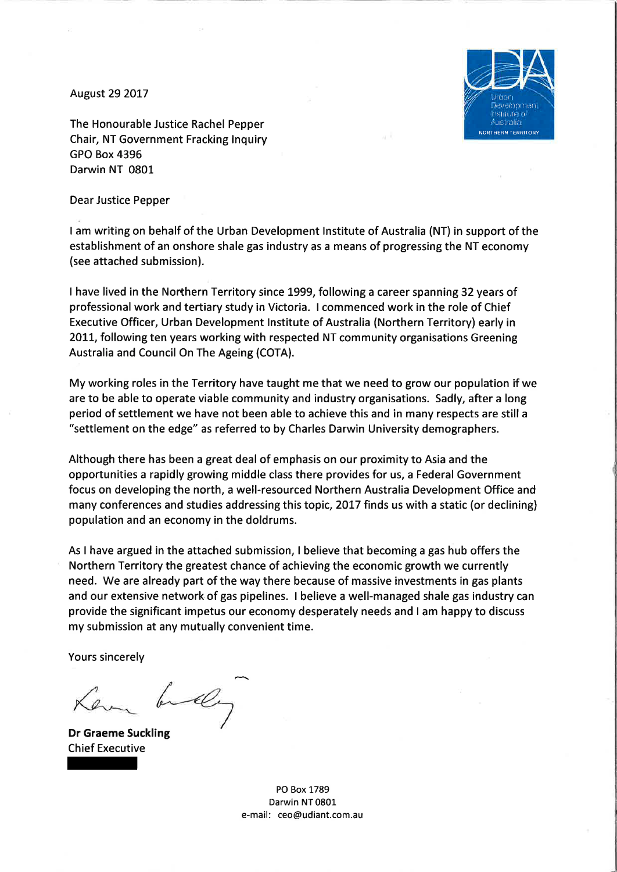**August 29 2017** 



The Honourable Justice Rachel Pepper Chair, NT Government Fracking Inquiry **GPO Box 4396** Darwin NT 0801

**Dear Justice Pepper** 

I am writing on behalf of the Urban Development Institute of Australia (NT) in support of the establishment of an onshore shale gas industry as a means of progressing the NT economy (see attached submission).

I have lived in the Northern Territory since 1999, following a career spanning 32 years of professional work and tertiary study in Victoria. I commenced work in the role of Chief Executive Officer, Urban Development Institute of Australia (Northern Territory) early in 2011, following ten years working with respected NT community organisations Greening Australia and Council On The Ageing (COTA).

My working roles in the Territory have taught me that we need to grow our population if we are to be able to operate viable community and industry organisations. Sadly, after a long period of settlement we have not been able to achieve this and in many respects are still a "settlement on the edge" as referred to by Charles Darwin University demographers.

Although there has been a great deal of emphasis on our proximity to Asia and the opportunities a rapidly growing middle class there provides for us, a Federal Government focus on developing the north, a well-resourced Northern Australia Development Office and many conferences and studies addressing this topic, 2017 finds us with a static (or declining) population and an economy in the doldrums.

As I have argued in the attached submission, I believe that becoming a gas hub offers the Northern Territory the greatest chance of achieving the economic growth we currently need. We are already part of the way there because of massive investments in gas plants and our extensive network of gas pipelines. I believe a well-managed shale gas industry can provide the significant impetus our economy desperately needs and I am happy to discuss my submission at any mutually convenient time.

**Yours sincerely** 

bely

**Dr Graeme Suckling Chief Executive** 

PO Box 1789 Darwin NT 0801 e-mail: ceo@udiant.com.au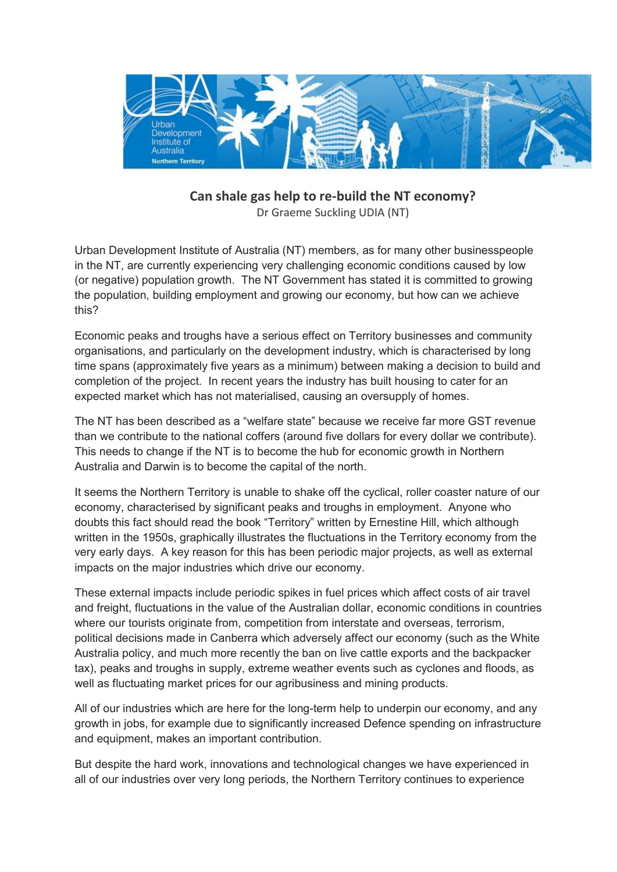

**Can shale gas help to re-build the NT economy?** Dr Graeme Suckling UDIA (NT)

Urban Development Institute of Australia (NT) members, as for many other businesspeople in the NT, are currently experiencing very challenging economic conditions caused by low (or negative) population growth. The NT Government has stated it is committed to growing the population, building employment and growing our economy, but how can we achieve this?

Economic peaks and troughs have a serious effect on Territory businesses and community organisations, and particularly on the development industry, which is characterised by long time spans (approximately five years as a minimum) between making a decision to build and completion of the project. In recent years the industry has built housing to cater for an expected market which has not materialised, causing an oversupply of homes.

The NT has been described as a "welfare state" because we receive far more GST revenue than we contribute to the national coffers (around five dollars for every dollar we contribute). This needs to change if the NT is to become the hub for economic growth in Northern Australia and Darwin is to become the capital of the north.

It seems the Northern Territory is unable to shake off the cyclical, roller coaster nature of our economy, characterised by significant peaks and troughs in employment. Anyone who doubts this fact should read the book "Territory" written by Ernestine Hill, which although written in the 1950s, graphically illustrates the fluctuations in the Territory economy from the very early days. A key reason for this has been periodic major projects, as well as external impacts on the major industries which drive our economy.

These external impacts include periodic spikes in fuel prices which affect costs of air travel and freight, fluctuations in the value of the Australian dollar, economic conditions in countries where our tourists originate from, competition from interstate and overseas, terrorism, political decisions made in Canberra which adversely affect our economy (such as the White Australia policy, and much more recently the ban on live cattle exports and the backpacker tax), peaks and troughs in supply, extreme weather events such as cyclones and floods, as well as fluctuating market prices for our agribusiness and mining products.

All of our industries which are here for the long-term help to underpin our economy, and any growth in jobs, for example due to significantly increased Defence spending on infrastructure and equipment, makes an important contribution.

But despite the hard work, innovations and technological changes we have experienced in all of our industries over very long periods, the Northern Territory continues to experience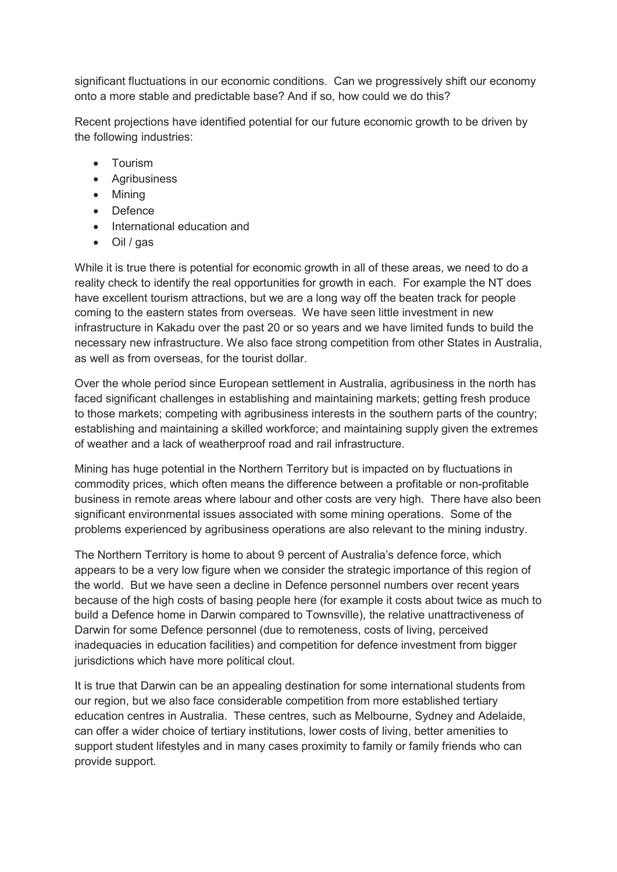significant fluctuations in our economic conditions. Can we progressively shift our economy onto a more stable and predictable base? And if so, how could we do this?

Recent projections have identified potential for our future economic growth to be driven by the following industries:

- Tourism
- Agribusiness
- Mining
- Defence
- International education and
- Oil / gas

While it is true there is potential for economic growth in all of these areas, we need to do a reality check to identify the real opportunities for growth in each. For example the NT does have excellent tourism attractions, but we are a long way off the beaten track for people coming to the eastern states from overseas. We have seen little investment in new infrastructure in Kakadu over the past 20 or so years and we have limited funds to build the necessary new infrastructure. We also face strong competition from other States in Australia, as well as from overseas, for the tourist dollar.

Over the whole period since European settlement in Australia, agribusiness in the north has faced significant challenges in establishing and maintaining markets; getting fresh produce to those markets; competing with agribusiness interests in the southern parts of the country; establishing and maintaining a skilled workforce; and maintaining supply given the extremes of weather and a lack of weatherproof road and rail infrastructure.

Mining has huge potential in the Northern Territory but is impacted on by fluctuations in commodity prices, which often means the difference between a profitable or non-profitable business in remote areas where labour and other costs are very high. There have also been significant environmental issues associated with some mining operations. Some of the problems experienced by agribusiness operations are also relevant to the mining industry.

The Northern Territory is home to about 9 percent of Australia's defence force, which appears to be a very low figure when we consider the strategic importance of this region of the world. But we have seen a decline in Defence personnel numbers over recent years because of the high costs of basing people here (for example it costs about twice as much to build a Defence home in Darwin compared to Townsville), the relative unattractiveness of Darwin for some Defence personnel (due to remoteness, costs of living, perceived inadequacies in education facilities) and competition for defence investment from bigger jurisdictions which have more political clout.

It is true that Darwin can be an appealing destination for some international students from our region, but we also face considerable competition from more established tertiary education centres in Australia. These centres, such as Melbourne, Sydney and Adelaide, can offer a wider choice of tertiary institutions, lower costs of living, better amenities to support student lifestyles and in many cases proximity to family or family friends who can provide support.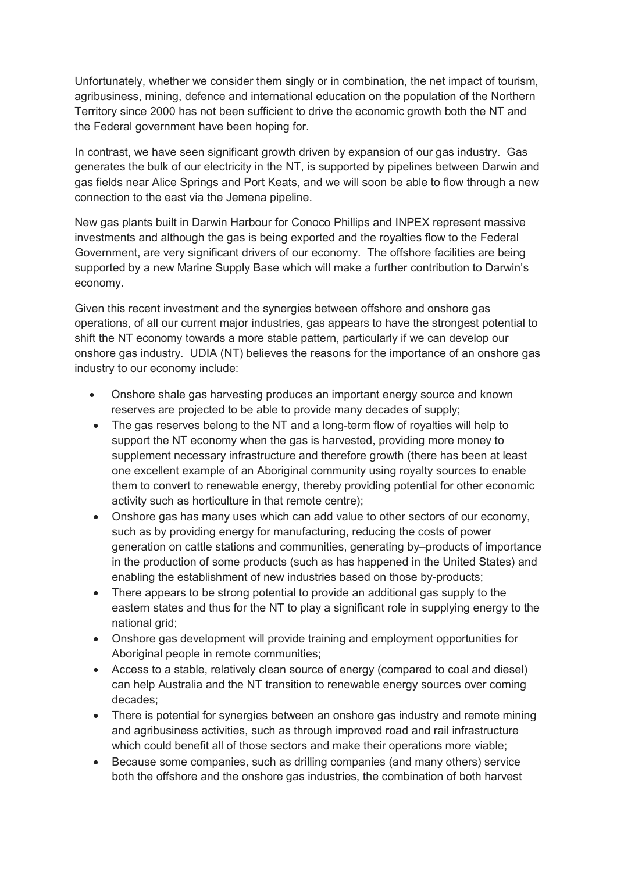Unfortunately, whether we consider them singly or in combination, the net impact of tourism, agribusiness, mining, defence and international education on the population of the Northern Territory since 2000 has not been sufficient to drive the economic growth both the NT and the Federal government have been hoping for.

In contrast, we have seen significant growth driven by expansion of our gas industry. Gas generates the bulk of our electricity in the NT, is supported by pipelines between Darwin and gas fields near Alice Springs and Port Keats, and we will soon be able to flow through a new connection to the east via the Jemena pipeline.

New gas plants built in Darwin Harbour for Conoco Phillips and INPEX represent massive investments and although the gas is being exported and the royalties flow to the Federal Government, are very significant drivers of our economy. The offshore facilities are being supported by a new Marine Supply Base which will make a further contribution to Darwin's economy.

Given this recent investment and the synergies between offshore and onshore gas operations, of all our current major industries, gas appears to have the strongest potential to shift the NT economy towards a more stable pattern, particularly if we can develop our onshore gas industry. UDIA (NT) believes the reasons for the importance of an onshore gas industry to our economy include:

- Onshore shale gas harvesting produces an important energy source and known reserves are projected to be able to provide many decades of supply;
- The gas reserves belong to the NT and a long-term flow of royalties will help to support the NT economy when the gas is harvested, providing more money to supplement necessary infrastructure and therefore growth (there has been at least one excellent example of an Aboriginal community using royalty sources to enable them to convert to renewable energy, thereby providing potential for other economic activity such as horticulture in that remote centre);
- Onshore gas has many uses which can add value to other sectors of our economy, such as by providing energy for manufacturing, reducing the costs of power generation on cattle stations and communities, generating by–products of importance in the production of some products (such as has happened in the United States) and enabling the establishment of new industries based on those by-products;
- There appears to be strong potential to provide an additional gas supply to the eastern states and thus for the NT to play a significant role in supplying energy to the national grid;
- Onshore gas development will provide training and employment opportunities for Aboriginal people in remote communities;
- Access to a stable, relatively clean source of energy (compared to coal and diesel) can help Australia and the NT transition to renewable energy sources over coming decades;
- There is potential for synergies between an onshore gas industry and remote mining and agribusiness activities, such as through improved road and rail infrastructure which could benefit all of those sectors and make their operations more viable;
- Because some companies, such as drilling companies (and many others) service both the offshore and the onshore gas industries, the combination of both harvest